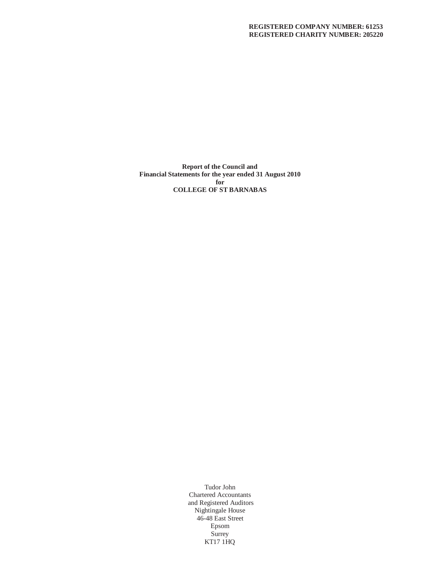**Report of the Council and Financial Statements for the year ended 31 August 2010 for COLLEGE OF ST BARNABAS**

> Tudor John Chartered Accountants and Registered Auditors Nightingale House 46-48 East Street Epsom Surrey KT17 1HQ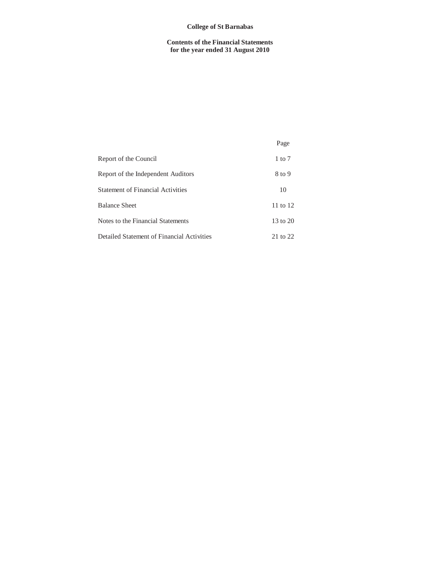# **College of St Barnabas**

# **Contents of the Financial Statements for the year ended 31 August 2010**

|                                            | Page                |
|--------------------------------------------|---------------------|
| Report of the Council                      | $1 \text{ to } 7$   |
| Report of the Independent Auditors         | 8 to 9              |
| <b>Statement of Financial Activities</b>   | 10                  |
| <b>Balance Sheet</b>                       | 11 to 12            |
| Notes to the Financial Statements          | $13 \text{ to } 20$ |
| Detailed Statement of Financial Activities | 21 to 22            |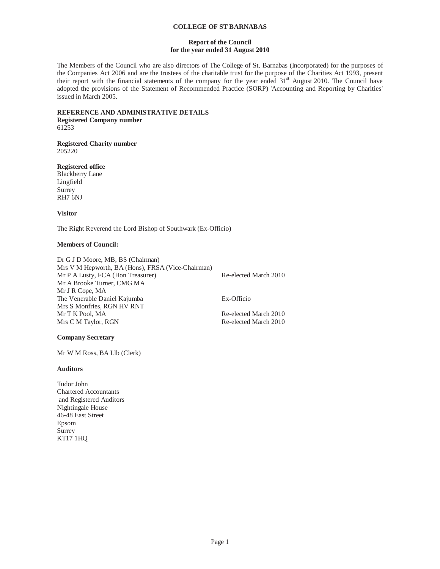## **Report of the Council for the year ended 31 August 2010**

The Members of the Council who are also directors of The College of St. Barnabas (Incorporated) for the purposes of the Companies Act 2006 and are the trustees of the charitable trust for the purpose of the Charities Act 1993, present their report with the financial statements of the company for the year ended 31<sup>st</sup> August 2010. The Council have adopted the provisions of the Statement of Recommended Practice (SORP) 'Accounting and Reporting by Charities' issued in March 2005.

#### **REFERENCE AND ADMINISTRATIVE DETAILS Registered Company number**  61253

#### **Registered Charity number**  205220

**Registered office** 

Blackberry Lane Lingfield Surrey RH7 6NJ

**Visitor** 

The Right Reverend the Lord Bishop of Southwark (Ex-Officio)

# **Members of Council:**

| Dr G J D Moore, MB, BS (Chairman)                 |                       |
|---------------------------------------------------|-----------------------|
| Mrs V M Hepworth, BA (Hons), FRSA (Vice-Chairman) |                       |
| Mr P A Lusty, FCA (Hon Treasurer)                 | Re-elected March 2010 |
| Mr A Brooke Turner, CMG MA                        |                       |
| Mr J R Cope, MA                                   |                       |
| The Venerable Daniel Kajumba                      | Ex-Officio            |
| Mrs S Monfries, RGN HV RNT                        |                       |
| Mr T K Pool, MA                                   | Re-elected March 2010 |
| Mrs C M Taylor, RGN                               | Re-elected March 2010 |

# **Company Secretary**

Mr W M Ross, BA Llb (Clerk)

# **Auditors**

Tudor John Chartered Accountants and Registered Auditors Nightingale House 46-48 East Street Epsom Surrey KT17 1HQ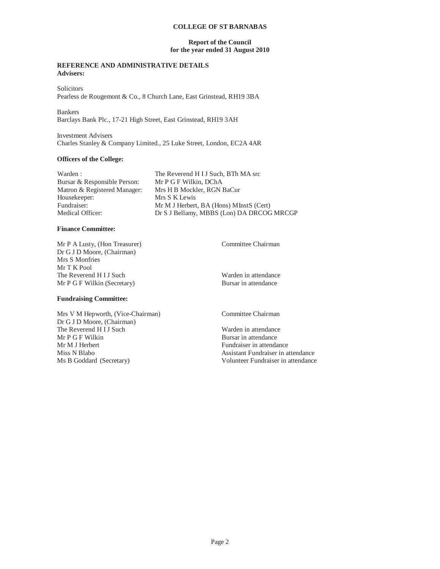## **Report of the Council for the year ended 31 August 2010**

# **REFERENCE AND ADMINISTRATIVE DETAILS Advisers:**

**Solicitors** Pearless de Rougemont & Co., 8 Church Lane, East Grinstead, RH19 3BA

Bankers Barclays Bank Plc., 17-21 High Street, East Grinstead, RH19 3AH

Investment Advisers Charles Stanley & Company Limited., 25 Luke Street, London, EC2A 4AR

# **Officers of the College:**

| Warden:                      | The Reverend H I J Such, BTh MA src       |
|------------------------------|-------------------------------------------|
| Bursar & Responsible Person: | Mr P G F Wilkin, DChA                     |
| Matron & Registered Manager: | Mrs H B Mockler, RGN BaCur                |
| Housekeeper:                 | Mrs S K Lewis                             |
| Fundraiser:                  | Mr M J Herbert, BA (Hons) MInstS (Cert)   |
| Medical Officer:             | Dr S J Bellamy, MBBS (Lon) DA DRCOG MRCGP |

# **Finance Committee:**

Mr P A Lusty, (Hon Treasurer) Committee Chairman Dr G J D Moore, (Chairman) Mrs S Monfries Mr T K Pool The Reverend H I J Such Warden in attendance Mr P G F Wilkin (Secretary) Bursar in attendance

**Fundraising Committee:**

Mrs V M Hepworth, (Vice-Chairman) Committee Chairman Dr G J D Moore, (Chairman) The Reverend H I J Such Warden in attendance<br>
Mr P G F Wilkin Bursar in attendance Mr M J Herbert Fundraiser in attendance Miss N Blaho **Assistant Fundraiser in attendance** Assistant Fundraiser in attendance Ms B Goddard (Secretary) Volunteer Fundraiser in attendance

Bursar in attendance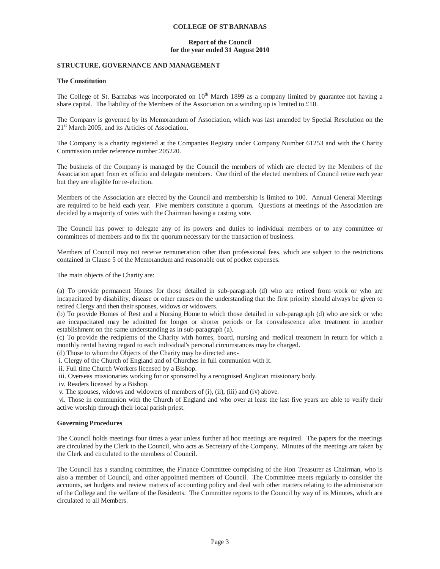## **Report of the Council for the year ended 31 August 2010**

# **STRUCTURE, GOVERNANCE AND MANAGEMENT**

## **The Constitution**

The College of St. Barnabas was incorporated on  $10<sup>th</sup>$  March 1899 as a company limited by guarantee not having a share capital. The liability of the Members of the Association on a winding up is limited to £10.

The Company is governed by its Memorandum of Association, which was last amended by Special Resolution on the 21<sup>st</sup> March 2005, and its Articles of Association.

The Company is a charity registered at the Companies Registry under Company Number 61253 and with the Charity Commission under reference number 205220.

The business of the Company is managed by the Council the members of which are elected by the Members of the Association apart from ex officio and delegate members. One third of the elected members of Council retire each year but they are eligible for re-election.

Members of the Association are elected by the Council and membership is limited to 100. Annual General Meetings are required to be held each year. Five members constitute a quorum. Questions at meetings of the Association are decided by a majority of votes with the Chairman having a casting vote.

The Council has power to delegate any of its powers and duties to individual members or to any committee or committees of members and to fix the quorum necessary for the transaction of business.

Members of Council may not receive remuneration other than professional fees, which are subject to the restrictions contained in Clause 5 of the Memorandum and reasonable out of pocket expenses.

The main objects of the Charity are:

(a) To provide permanent Homes for those detailed in sub-paragraph (d) who are retired from work or who are incapacitated by disability, disease or other causes on the understanding that the first priority should always be given to retired Clergy and then their spouses, widows or widowers.

(b) To provide Homes of Rest and a Nursing Home to which those detailed in sub-paragraph (d) who are sick or who are incapacitated may be admitted for longer or shorter periods or for convalescence after treatment in another establishment on the same understanding as in sub-paragraph (a).

(c) To provide the recipients of the Charity with homes, board, nursing and medical treatment in return for which a monthly rental having regard to each individual's personal circumstances may be charged.

(d) Those to whom the Objects of the Charity may be directed are:-

i. Clergy of the Church of England and of Churches in full communion with it.

ii. Full time Church Workers licensed by a Bishop.

iii. Overseas missionaries working for or sponsored by a recognised Anglican missionary body.

iv. Readers licensed by a Bishop.

v. The spouses, widows and widowers of members of (i), (ii), (iii) and (iv) above.

 vi. Those in communion with the Church of England and who over at least the last five years are able to verify their active worship through their local parish priest.

#### **Governing Procedures**

The Council holds meetings four times a year unless further ad hoc meetings are required. The papers for the meetings are circulated by the Clerk to the Council, who acts as Secretary of the Company. Minutes of the meetings are taken by the Clerk and circulated to the members of Council.

The Council has a standing committee, the Finance Committee comprising of the Hon Treasurer as Chairman, who is also a member of Council, and other appointed members of Council. The Committee meets regularly to consider the accounts, set budgets and review matters of accounting policy and deal with other matters relating to the administration of the College and the welfare of the Residents. The Committee reports to the Council by way of its Minutes, which are circulated to all Members.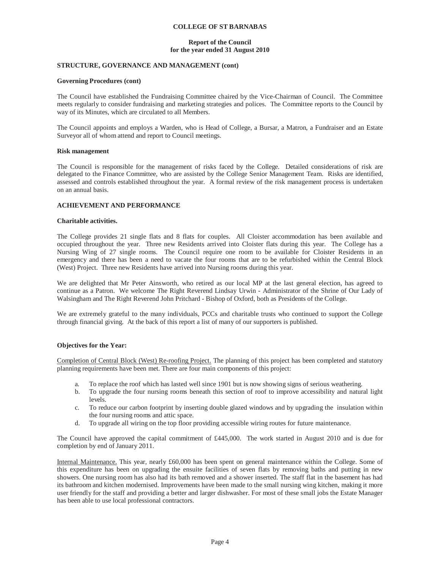# **Report of the Council for the year ended 31 August 2010**

# **STRUCTURE, GOVERNANCE AND MANAGEMENT (cont)**

## **Governing Procedures (cont)**

The Council have established the Fundraising Committee chaired by the Vice-Chairman of Council. The Committee meets regularly to consider fundraising and marketing strategies and polices. The Committee reports to the Council by way of its Minutes, which are circulated to all Members.

The Council appoints and employs a Warden, who is Head of College, a Bursar, a Matron, a Fundraiser and an Estate Surveyor all of whom attend and report to Council meetings.

## **Risk management**

The Council is responsible for the management of risks faced by the College. Detailed considerations of risk are delegated to the Finance Committee, who are assisted by the College Senior Management Team. Risks are identified, assessed and controls established throughout the year. A formal review of the risk management process is undertaken on an annual basis.

# **ACHIEVEMENT AND PERFORMANCE**

# **Charitable activities.**

The College provides 21 single flats and 8 flats for couples. All Cloister accommodation has been available and occupied throughout the year. Three new Residents arrived into Cloister flats during this year. The College has a Nursing Wing of 27 single rooms. The Council require one room to be available for Cloister Residents in an emergency and there has been a need to vacate the four rooms that are to be refurbished within the Central Block (West) Project. Three new Residents have arrived into Nursing rooms during this year.

We are delighted that Mr Peter Ainsworth, who retired as our local MP at the last general election, has agreed to continue as a Patron. We welcome The Right Reverend Lindsay Urwin - Administrator of the Shrine of Our Lady of Walsingham and The Right Reverend John Pritchard - Bishop of Oxford, both as Presidents of the College.

We are extremely grateful to the many individuals, PCCs and charitable trusts who continued to support the College through financial giving. At the back of this report a list of many of our supporters is published.

# **Objectives for the Year:**

Completion of Central Block (West) Re-roofing Project. The planning of this project has been completed and statutory planning requirements have been met. There are four main components of this project:

- a. To replace the roof which has lasted well since 1901 but is now showing signs of serious weathering.
- b. To upgrade the four nursing rooms beneath this section of roof to improve accessibility and natural light levels.
- c. To reduce our carbon footprint by inserting double glazed windows and by upgrading the insulation within the four nursing rooms and attic space.
- d. To upgrade all wiring on the top floor providing accessible wiring routes for future maintenance.

The Council have approved the capital commitment of £445,000. The work started in August 2010 and is due for completion by end of January 2011.

Internal Maintenance. This year, nearly £60,000 has been spent on general maintenance within the College. Some of this expenditure has been on upgrading the ensuite facilities of seven flats by removing baths and putting in new showers. One nursing room has also had its bath removed and a shower inserted. The staff flat in the basement has had its bathroom and kitchen modernised. Improvements have been made to the small nursing wing kitchen, making it more user friendly for the staff and providing a better and larger dishwasher. For most of these small jobs the Estate Manager has been able to use local professional contractors.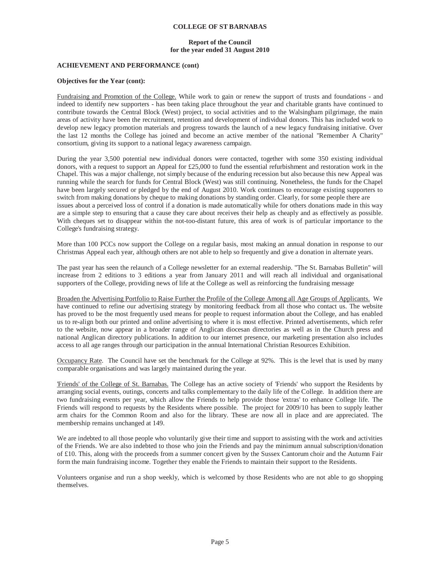## **Report of the Council for the year ended 31 August 2010**

# **ACHIEVEMENT AND PERFORMANCE (cont)**

### **Objectives for the Year (cont):**

Fundraising and Promotion of the College. While work to gain or renew the support of trusts and foundations - and indeed to identify new supporters - has been taking place throughout the year and charitable grants have continued to contribute towards the Central Block (West) project, to social activities and to the Walsingham pilgrimage, the main areas of activity have been the recruitment, retention and development of individual donors. This has included work to develop new legacy promotion materials and progress towards the launch of a new legacy fundraising initiative. Over the last 12 months the College has joined and become an active member of the national "Remember A Charity" consortium, giving its support to a national legacy awareness campaign.

During the year 3,500 potential new individual donors were contacted, together with some 350 existing individual donors, with a request to support an Appeal for £25,000 to fund the essential refurbishment and restoration work in the Chapel. This was a major challenge, not simply because of the enduring recession but also because this new Appeal was running while the search for funds for Central Block (West) was still continuing. Nonetheless, the funds for the Chapel have been largely secured or pledged by the end of August 2010. Work continues to encourage existing supporters to switch from making donations by cheque to making donations by standing order. Clearly, for some people there are issues about a perceived loss of control if a donation is made automatically while for others donations made in this way are a simple step to ensuring that a cause they care about receives their help as cheaply and as effectively as possible. With cheques set to disappear within the not-too-distant future, this area of work is of particular importance to the College's fundraising strategy.

More than 100 PCCs now support the College on a regular basis, most making an annual donation in response to our Christmas Appeal each year, although others are not able to help so frequently and give a donation in alternate years.

The past year has seen the relaunch of a College newsletter for an external readership. "The St. Barnabas Bulletin" will increase from 2 editions to 3 editions a year from January 2011 and will reach all individual and organisational supporters of the College, providing news of life at the College as well as reinforcing the fundraising message

Broaden the Advertising Portfolio to Raise Further the Profile of the College Among all Age Groups of Applicants. We have continued to refine our advertising strategy by monitoring feedback from all those who contact us. The website has proved to be the most frequently used means for people to request information about the College, and has enabled us to re-align both our printed and online advertising to where it is most effective. Printed advertisements, which refer to the website, now appear in a broader range of Anglican diocesan directories as well as in the Church press and national Anglican directory publications. In addition to our internet presence, our marketing presentation also includes access to all age ranges through our participation in the annual International Christian Resources Exhibition.

Occupancy Rate. The Council have set the benchmark for the College at 92%. This is the level that is used by many comparable organisations and was largely maintained during the year.

'Friends' of the College of St. Barnabas. The College has an active society of 'Friends' who support the Residents by arranging social events, outings, concerts and talks complementary to the daily life of the College. In addition there are two fundraising events per year, which allow the Friends to help provide those 'extras' to enhance College life. The Friends will respond to requests by the Residents where possible. The project for 2009/10 has been to supply leather arm chairs for the Common Room and also for the library. These are now all in place and are appreciated. The membership remains unchanged at 149.

We are indebted to all those people who voluntarily give their time and support to assisting with the work and activities of the Friends. We are also indebted to those who join the Friends and pay the minimum annual subscription/donation of £10. This, along with the proceeds from a summer concert given by the Sussex Cantorum choir and the Autumn Fair form the main fundraising income. Together they enable the Friends to maintain their support to the Residents.

Volunteers organise and run a shop weekly, which is welcomed by those Residents who are not able to go shopping themselves.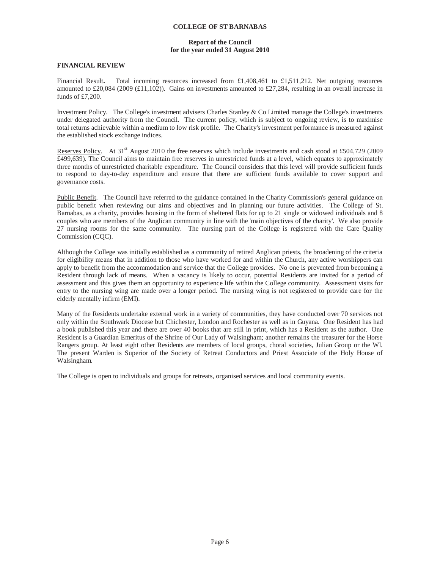# **Report of the Council for the year ended 31 August 2010**

# **FINANCIAL REVIEW**

Financial Result**.** Total incoming resources increased from £1,408,461 to £1,511,212. Net outgoing resources amounted to £20,084 (2009 (£11,102)). Gains on investments amounted to £27,284, resulting in an overall increase in funds of £7,200.

Investment Policy. The College's investment advisers Charles Stanley & Co Limited manage the College's investments under delegated authority from the Council. The current policy, which is subject to ongoing review, is to maximise total returns achievable within a medium to low risk profile. The Charity's investment performance is measured against the established stock exchange indices.

Reserves Policy. At 31<sup>st</sup> August 2010 the free reserves which include investments and cash stood at £504,729 (2009) £499,639). The Council aims to maintain free reserves in unrestricted funds at a level, which equates to approximately three months of unrestricted charitable expenditure. The Council considers that this level will provide sufficient funds to respond to day-to-day expenditure and ensure that there are sufficient funds available to cover support and governance costs.

Public Benefit. The Council have referred to the guidance contained in the Charity Commission's general guidance on public benefit when reviewing our aims and objectives and in planning our future activities. The College of St. Barnabas, as a charity, provides housing in the form of sheltered flats for up to 21 single or widowed individuals and 8 couples who are members of the Anglican community in line with the 'main objectives of the charity'. We also provide 27 nursing rooms for the same community. The nursing part of the College is registered with the Care Quality Commission (CQC).

Although the College was initially established as a community of retired Anglican priests, the broadening of the criteria for eligibility means that in addition to those who have worked for and within the Church, any active worshippers can apply to benefit from the accommodation and service that the College provides. No one is prevented from becoming a Resident through lack of means. When a vacancy is likely to occur, potential Residents are invited for a period of assessment and this gives them an opportunity to experience life within the College community. Assessment visits for entry to the nursing wing are made over a longer period. The nursing wing is not registered to provide care for the elderly mentally infirm (EMI).

Many of the Residents undertake external work in a variety of communities, they have conducted over 70 services not only within the Southwark Diocese but Chichester, London and Rochester as well as in Guyana. One Resident has had a book published this year and there are over 40 books that are still in print, which has a Resident as the author. One Resident is a Guardian Emeritus of the Shrine of Our Lady of Walsingham; another remains the treasurer for the Horse Rangers group. At least eight other Residents are members of local groups, choral societies, Julian Group or the WI. The present Warden is Superior of the Society of Retreat Conductors and Priest Associate of the Holy House of Walsingham.

The College is open to individuals and groups for retreats, organised services and local community events.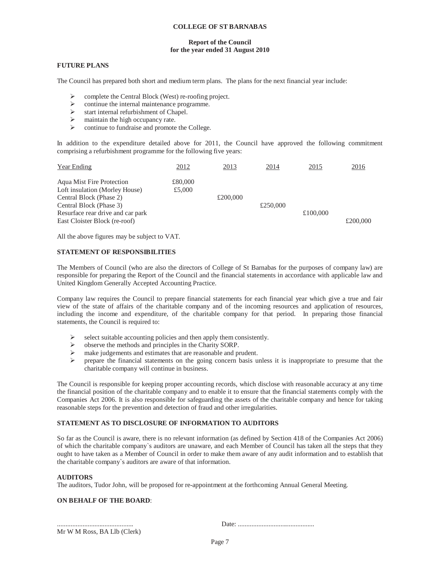# **Report of the Council for the year ended 31 August 2010**

# **FUTURE PLANS**

The Council has prepared both short and medium term plans. The plans for the next financial year include:

- $\triangleright$  complete the Central Block (West) re-roofing project.
- $\triangleright$  continue the internal maintenance programme.
- $\triangleright$  start internal refurbishment of Chapel.
- $\triangleright$  maintain the high occupancy rate.
- $\triangleright$  continue to fundraise and promote the College.

In addition to the expenditure detailed above for 2011, the Council have approved the following commitment comprising a refurbishment programme for the following five years:

| Year Ending                                                        | 2012              | 2013     | 2014     | 2015     | 2016     |
|--------------------------------------------------------------------|-------------------|----------|----------|----------|----------|
| <b>Agua Mist Fire Protection</b><br>Loft insulation (Morley House) | £80,000<br>£5,000 |          |          |          |          |
| Central Block (Phase 2)                                            |                   | £200,000 |          |          |          |
| Central Block (Phase 3)                                            |                   |          | £250,000 |          |          |
| Resurface rear drive and car park                                  |                   |          |          | £100,000 |          |
| East Cloister Block (re-roof)                                      |                   |          |          |          | £200,000 |

All the above figures may be subject to VAT.

# **STATEMENT OF RESPONSIBILITIES**

The Members of Council (who are also the directors of College of St Barnabas for the purposes of company law) are responsible for preparing the Report of the Council and the financial statements in accordance with applicable law and United Kingdom Generally Accepted Accounting Practice.

Company law requires the Council to prepare financial statements for each financial year which give a true and fair view of the state of affairs of the charitable company and of the incoming resources and application of resources, including the income and expenditure, of the charitable company for that period. In preparing those financial statements, the Council is required to:

- $\triangleright$  select suitable accounting policies and then apply them consistently.
- $\triangleright$  observe the methods and principles in the Charity SORP.
- ¾ make judgements and estimates that are reasonable and prudent.
- ¾ prepare the financial statements on the going concern basis unless it is inappropriate to presume that the charitable company will continue in business.

The Council is responsible for keeping proper accounting records, which disclose with reasonable accuracy at any time the financial position of the charitable company and to enable it to ensure that the financial statements comply with the Companies Act 2006. It is also responsible for safeguarding the assets of the charitable company and hence for taking reasonable steps for the prevention and detection of fraud and other irregularities.

# **STATEMENT AS TO DISCLOSURE OF INFORMATION TO AUDITORS**

So far as the Council is aware, there is no relevant information (as defined by Section 418 of the Companies Act 2006) of which the charitable company`s auditors are unaware, and each Member of Council has taken all the steps that they ought to have taken as a Member of Council in order to make them aware of any audit information and to establish that the charitable company`s auditors are aware of that information.

# **AUDITORS**

The auditors, Tudor John, will be proposed for re-appointment at the forthcoming Annual General Meeting.

# **ON BEHALF OF THE BOARD**:

Mr W M Ross, BA Llb (Clerk)

............................................. Date: .............................................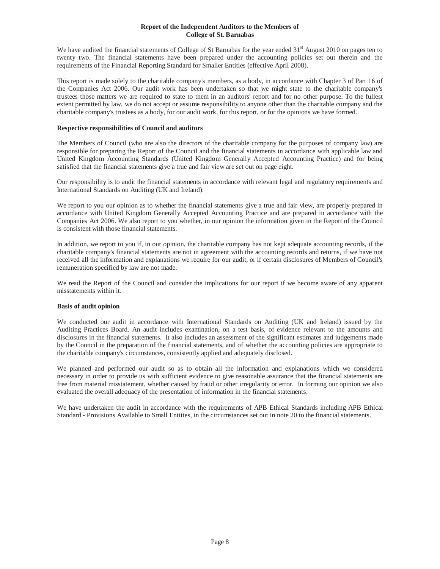# **Report of the Independent Auditors to the Members of College of St. Barnabas**

We have audited the financial statements of College of St Barnabas for the year ended  $31<sup>st</sup>$  August 2010 on pages ten to twenty two. The financial statements have been prepared under the accounting policies set out therein and the requirements of the Financial Reporting Standard for Smaller Entities (effective April 2008).

This report is made solely to the charitable company's members, as a body, in accordance with Chapter 3 of Part 16 of the Companies Act 2006. Our audit work has been undertaken so that we might state to the charitable company's trustees those matters we are required to state to them in an auditors' report and for no other purpose. To the fullest extent permitted by law, we do not accept or assume responsibility to anyone other than the charitable company and the charitable company's trustees as a body, for our audit work, for this report, or for the opinions we have formed.

# **Respective responsibilities of Council and auditors**

The Members of Council (who are also the directors of the charitable company for the purposes of company law) are responsible for preparing the Report of the Council and the financial statements in accordance with applicable law and United Kingdom Accounting Standards (United Kingdom Generally Accepted Accounting Practice) and for being satisfied that the financial statements give a true and fair view are set out on page eight.

Our responsibility is to audit the financial statements in accordance with relevant legal and regulatory requirements and International Standards on Auditing (UK and Ireland).

We report to you our opinion as to whether the financial statements give a true and fair view, are properly prepared in accordance with United Kingdom Generally Accepted Accounting Practice and are prepared in accordance with the Companies Act 2006. We also report to you whether, in our opinion the information given in the Report of the Council is consistent with those financial statements.

In addition, we report to you if, in our opinion, the charitable company has not kept adequate accounting records, if the charitable company's financial statements are not in agreement with the accounting records and returns, if we have not received all the information and explanations we require for our audit, or if certain disclosures of Members of Council's remuneration specified by law are not made.

We read the Report of the Council and consider the implications for our report if we become aware of any apparent misstatements within it.

# **Basis of audit opinion**

We conducted our audit in accordance with International Standards on Auditing (UK and Ireland) issued by the Auditing Practices Board. An audit includes examination, on a test basis, of evidence relevant to the amounts and disclosures in the financial statements. It also includes an assessment of the significant estimates and judgements made by the Council in the preparation of the financial statements, and of whether the accounting policies are appropriate to the charitable company's circumstances, consistently applied and adequately disclosed.

We planned and performed our audit so as to obtain all the information and explanations which we considered necessary in order to provide us with sufficient evidence to give reasonable assurance that the financial statements are free from material misstatement, whether caused by fraud or other irregularity or error. In forming our opinion we also evaluated the overall adequacy of the presentation of information in the financial statements.

We have undertaken the audit in accordance with the requirements of APB Ethical Standards including APB Ethical Standard - Provisions Available to Small Entities, in the circumstances set out in note 20 to the financial statements.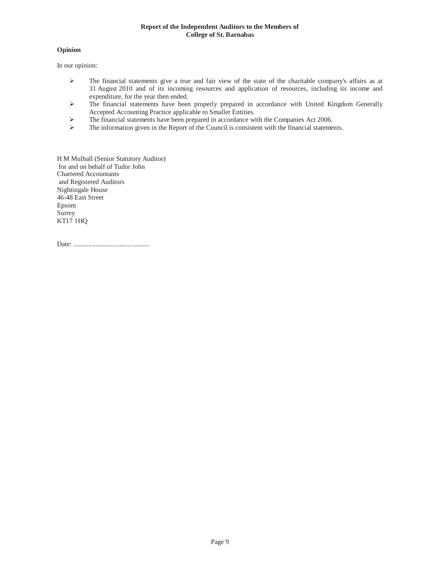# **Opinion**

In our opinion:

- $\triangleright$  The financial statements give a true and fair view of the state of the charitable company's affairs as at 31 August 2010 and of its incoming resources and application of resources, including its income and expenditure, for the year then ended.
- ¾ The financial statements have been properly prepared in accordance with United Kingdom Generally Accepted Accounting Practice applicable to Smaller Entities.
- $\triangleright$  The financial statements have been prepared in accordance with the Companies Act 2006.<br>
The information given in the Report of the Council is consistent with the financial statement
- The information given in the Report of the Council is consistent with the financial statements.

H M Mulhall (Senior Statutory Auditor) for and on behalf of Tudor John Chartered Accountants and Registered Auditors Nightingale House 46-48 East Street Epsom Surrey KT17 1HQ

Date: .............................................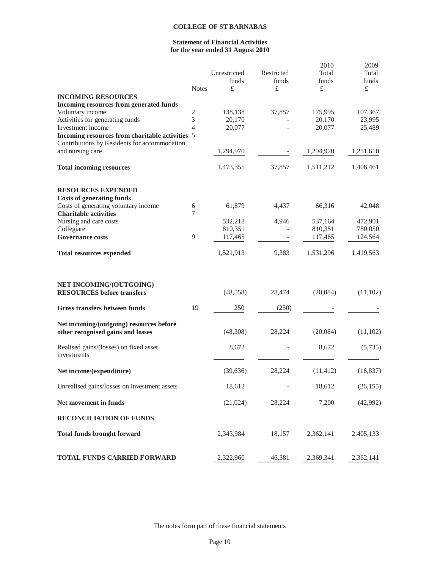# **Statement of Financial Activities for the year ended 31 August 2010**

|                                                                                                 |                     | Unrestricted       | Restricted | 2010<br>Total      | 2009<br>Total      |
|-------------------------------------------------------------------------------------------------|---------------------|--------------------|------------|--------------------|--------------------|
|                                                                                                 |                     | funds              | funds      | funds              | funds              |
|                                                                                                 | <b>Notes</b>        | £                  | £          | £                  | £                  |
| <b>INCOMING RESOURCES</b>                                                                       |                     |                    |            |                    |                    |
| Incoming resources from generated funds                                                         |                     |                    |            |                    |                    |
| Voluntary income                                                                                | 2                   | 138,138            | 37,857     | 175,995            | 107,367            |
| Activities for generating funds                                                                 | 3<br>$\overline{4}$ | 20,170             |            | 20,170             | 23,995             |
| Investment income                                                                               |                     | 20,077             |            | 20,077             | 25,489             |
| Incoming resources from charitable activities 5<br>Contributions by Residents for accommodation |                     |                    |            |                    |                    |
| and nursing care                                                                                |                     | 1,294,970          |            | 1,294,970          | 1,251,610          |
|                                                                                                 |                     |                    |            |                    |                    |
| <b>Total incoming resources</b>                                                                 |                     | 1,473,355          | 37,857     | 1,511,212          | 1,408,461          |
| <b>RESOURCES EXPENDED</b>                                                                       |                     |                    |            |                    |                    |
| <b>Costs of generating funds</b>                                                                |                     |                    |            |                    |                    |
| Costs of generating voluntary income                                                            | 6                   | 61,879             | 4,437      | 66,316             | 42,048             |
| <b>Charitable activities</b>                                                                    | 7                   |                    |            |                    |                    |
| Nursing and care costs<br>Collegiate                                                            |                     | 532,218<br>810,351 | 4,946      | 537,164<br>810,351 | 472,901<br>780,050 |
| <b>Governance costs</b>                                                                         | 9                   | 117,465            |            | 117,465            | 124,564            |
|                                                                                                 |                     |                    |            |                    |                    |
| <b>Total resources expended</b>                                                                 |                     | 1,521,913          | 9,383      | 1,531,296          | 1,419,563          |
| NET INCOMING/(OUTGOING)                                                                         |                     |                    |            |                    |                    |
| <b>RESOURCES</b> before transfers                                                               |                     | (48, 558)          | 28,474     | (20,084)           | (11, 102)          |
| Gross transfers between funds                                                                   | 19                  | 250                | (250)      |                    |                    |
| Net incoming/(outgoing) resources before                                                        |                     |                    |            |                    |                    |
| other recognised gains and losses                                                               |                     | (48,308)           | 28,224     | (20,084)           | (11, 102)          |
| Realised gains/(losses) on fixed asset<br>investments                                           |                     | 8,672              |            | 8,672              | (5,735)            |
| Net income/(expenditure)                                                                        |                     | (39,636)           | 28,224     | (11, 412)          | (16, 837)          |
| Unrealised gains/losses on investment assets                                                    |                     | 18,612             |            | 18,612             | (26, 155)          |
| Net movement in funds                                                                           |                     | (21,024)           | 28,224     | 7,200              | (42,992)           |
| <b>RECONCILIATION OF FUNDS</b>                                                                  |                     |                    |            |                    |                    |
| <b>Total funds brought forward</b>                                                              |                     | 2,343,984          | 18,157     | 2,362,141          | 2,405,133          |
| TOTAL FUNDS CARRIED FORWARD                                                                     |                     | 2,322,960          | 46,381     | 2,369,341          | 2,362,141          |

The notes form part of these financial statements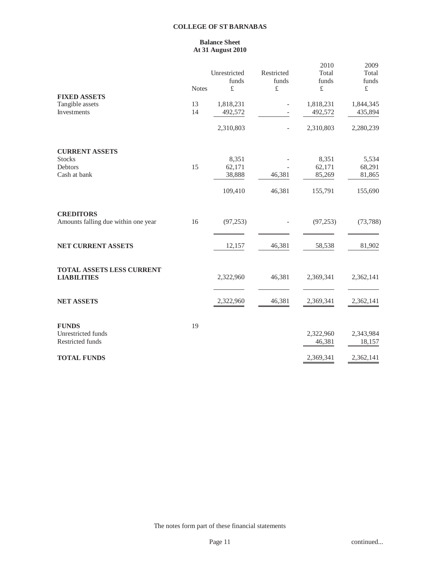# **Balance Sheet At 31 August 2010**

|              |                |                                           | 2010                          | 2009<br>Total                                                        |
|--------------|----------------|-------------------------------------------|-------------------------------|----------------------------------------------------------------------|
|              |                |                                           |                               | funds                                                                |
| <b>Notes</b> | $\pounds$      | $\pounds$                                 | $\pounds$                     | $\pounds$                                                            |
|              |                |                                           |                               |                                                                      |
| 13           | 1,818,231      |                                           | 1,818,231                     | 1,844,345                                                            |
|              | 492,572        |                                           |                               | 435,894                                                              |
|              | 2,310,803      | $\bar{ }$                                 | 2,310,803                     | 2,280,239                                                            |
|              |                |                                           |                               |                                                                      |
|              | 8,351          |                                           | 8,351                         | 5,534                                                                |
|              |                |                                           |                               | 68,291                                                               |
|              |                |                                           |                               | 81,865                                                               |
|              | 109,410        | 46,381                                    | 155,791                       | 155,690                                                              |
|              |                |                                           |                               |                                                                      |
| 16           | (97, 253)      |                                           | (97, 253)                     | (73, 788)                                                            |
|              | 12,157         | 46,381                                    |                               | 81,902                                                               |
|              |                |                                           |                               |                                                                      |
|              | 2,322,960      | 46,381                                    | 2,369,341                     | 2,362,141                                                            |
|              |                |                                           |                               |                                                                      |
|              | 2,322,960      | 46,381                                    | 2,369,341                     | 2,362,141                                                            |
|              |                |                                           |                               |                                                                      |
|              |                |                                           |                               | 2,343,984                                                            |
|              |                |                                           | 46,381                        | 18,157                                                               |
|              |                |                                           | 2,369,341                     | 2,362,141                                                            |
|              | 14<br>15<br>19 | Unrestricted<br>funds<br>62,171<br>38,888 | Restricted<br>funds<br>46,381 | Total<br>funds<br>492,572<br>62,171<br>85,269<br>58,538<br>2,322,960 |

The notes form part of these financial statements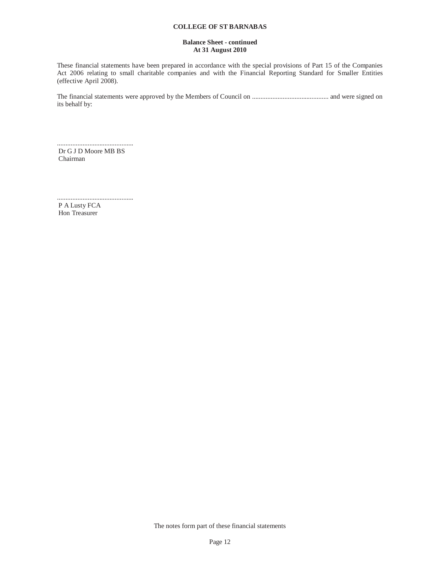## **Balance Sheet - continued At 31 August 2010**

These financial statements have been prepared in accordance with the special provisions of Part 15 of the Companies Act 2006 relating to small charitable companies and with the Financial Reporting Standard for Smaller Entities (effective April 2008).

The financial statements were approved by the Members of Council on ............................................. and were signed on its behalf by:

............................................. Dr G J D Moore MB BS Chairman

............................................. P A Lusty FCA Hon Treasurer

The notes form part of these financial statements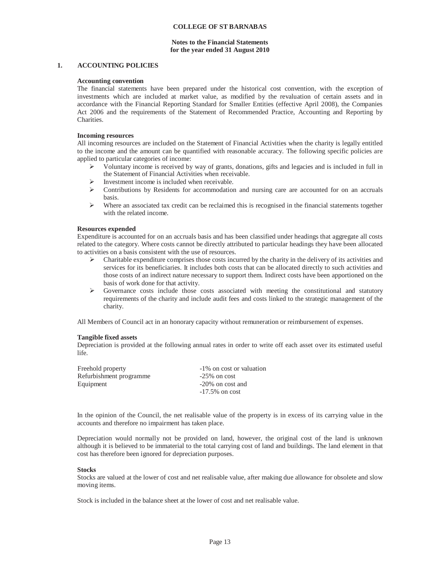## **Notes to the Financial Statements for the year ended 31 August 2010**

## **1. ACCOUNTING POLICIES**

### **Accounting convention**

The financial statements have been prepared under the historical cost convention, with the exception of investments which are included at market value, as modified by the revaluation of certain assets and in accordance with the Financial Reporting Standard for Smaller Entities (effective April 2008), the Companies Act 2006 and the requirements of the Statement of Recommended Practice, Accounting and Reporting by Charities.

#### **Incoming resources**

All incoming resources are included on the Statement of Financial Activities when the charity is legally entitled to the income and the amount can be quantified with reasonable accuracy. The following specific policies are applied to particular categories of income:

- $\triangleright$  Voluntary income is received by way of grants, donations, gifts and legacies and is included in full in the Statement of Financial Activities when receivable.
- $\triangleright$  Investment income is included when receivable.
- $\triangleright$  Contributions by Residents for accommodation and nursing care are accounted for on an accruals basis.
- $\triangleright$  Where an associated tax credit can be reclaimed this is recognised in the financial statements together with the related income.

#### **Resources expended**

Expenditure is accounted for on an accruals basis and has been classified under headings that aggregate all costs related to the category. Where costs cannot be directly attributed to particular headings they have been allocated to activities on a basis consistent with the use of resources.

- $\triangleright$  Charitable expenditure comprises those costs incurred by the charity in the delivery of its activities and services for its beneficiaries. It includes both costs that can be allocated directly to such activities and those costs of an indirect nature necessary to support them. Indirect costs have been apportioned on the basis of work done for that activity.
- $\triangleright$  Governance costs include those costs associated with meeting the constitutional and statutory requirements of the charity and include audit fees and costs linked to the strategic management of the charity.

All Members of Council act in an honorary capacity without remuneration or reimbursement of expenses.

#### **Tangible fixed assets**

Depreciation is provided at the following annual rates in order to write off each asset over its estimated useful life.

| Freehold property       | -1% on cost or valuation |
|-------------------------|--------------------------|
| Refurbishment programme | $-25\%$ on cost          |
| Equipment               | -20% on cost and         |
|                         | $-17.5\%$ on cost        |

In the opinion of the Council, the net realisable value of the property is in excess of its carrying value in the accounts and therefore no impairment has taken place.

Depreciation would normally not be provided on land, however, the original cost of the land is unknown although it is believed to be immaterial to the total carrying cost of land and buildings. The land element in that cost has therefore been ignored for depreciation purposes.

#### **Stocks**

Stocks are valued at the lower of cost and net realisable value, after making due allowance for obsolete and slow moving items.

Stock is included in the balance sheet at the lower of cost and net realisable value.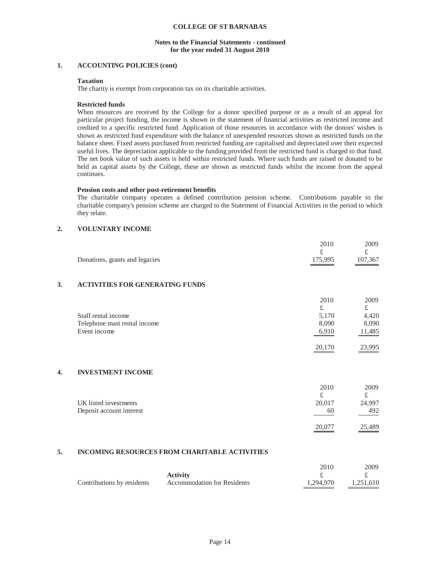## **Notes to the Financial Statements - continued for the year ended 31 August 2010**

# **1. ACCOUNTING POLICIES (cont)**

## **Taxation**

The charity is exempt from corporation tax on its charitable activities.

## **Restricted funds**

When resources are received by the College for a donor specified purpose or as a result of an appeal for particular project funding, the income is shown in the statement of financial activities as restricted income and credited to a specific restricted fund. Application of those resources in accordance with the donors' wishes is shown as restricted fund expenditure with the balance of unexpended resources shown as restricted funds on the balance sheet. Fixed assets purchased from restricted funding are capitalised and depreciated over their expected useful lives. The depreciation applicable to the funding provided from the restricted fund is charged to that fund. The net book value of such assets is held within restricted funds. Where such funds are raised or donated to be held as capital assets by the College, these are shown as restricted funds whilst the income from the appeal continues.

### **Pension costs and other post-retirement benefits**

The charitable company operates a defined contribution pension scheme. Contributions payable to the charitable company's pension scheme are charged to the Statement of Financial Activities in the period to which they relate.

# **2. VOLUNTARY INCOME**

|                                | 2010    | 2009    |
|--------------------------------|---------|---------|
|                                |         |         |
| Donations, grants and legacies | 175,995 | 107,367 |

# **3. ACTIVITIES FOR GENERATING FUNDS**

|                              | 2010   | 2009   |
|------------------------------|--------|--------|
|                              |        |        |
| Staff rental income          | 5.170  | 4.420  |
| Telephone mast rental income | 8,090  | 8,090  |
| Event income                 | 6,910  | 11,485 |
|                              | 20,170 | 23.995 |

# **4. INVESTMENT INCOME**

|                                                   | 2010<br>f    | 2009<br>£.         |
|---------------------------------------------------|--------------|--------------------|
| UK listed investments<br>Deposit account interest | 20,017<br>60 | 24,997<br>492      |
|                                                   | 20,077       | $\frac{25,489}{2}$ |

## **5. INCOMING RESOURCES FROM CHARITABLE ACTIVITIES**

|                            |                                    | 2010      | 2009-     |
|----------------------------|------------------------------------|-----------|-----------|
|                            | <b>Activity</b>                    |           |           |
| Contributions by residents | <b>Accommodation for Residents</b> | 1.294.970 | 1.251.610 |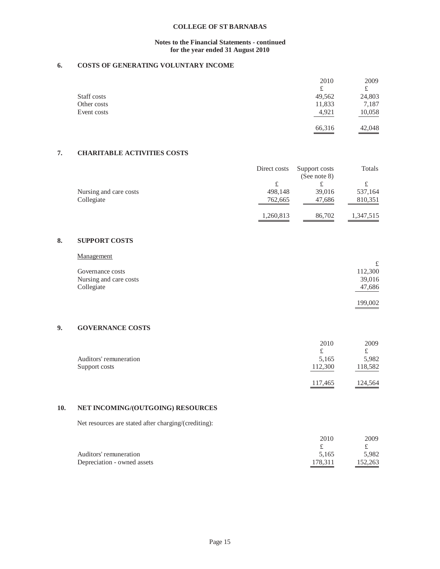# **Notes to the Financial Statements - continued for the year ended 31 August 2010**

# **6. COSTS OF GENERATING VOLUNTARY INCOME**

|             | 2010   | 2009   |
|-------------|--------|--------|
|             | £      |        |
| Staff costs | 49,562 | 24,803 |
| Other costs | 11,833 | 7,187  |
| Event costs | 4,921  | 10,058 |
|             | 66,316 | 42,048 |

# **7. CHARITABLE ACTIVITIES COSTS**

|                        | Direct costs | Support costs   | Totals    |
|------------------------|--------------|-----------------|-----------|
|                        |              | (See note $8$ ) |           |
|                        |              |                 |           |
| Nursing and care costs | 498.148      | 39,016          | 537,164   |
| Collegiate             | 762,665      | 47.686          | 810,351   |
|                        | 1,260,813    | 86,702          | 1,347,515 |

# **8. SUPPORT COSTS**

| Governance costs       | 112,300 |
|------------------------|---------|
| Nursing and care costs | 39,016  |
| Collegiate             | 47,686  |
|                        | 199,002 |

# **9. GOVERNANCE COSTS**

|                        | 2010    | 2009                |
|------------------------|---------|---------------------|
|                        | £       |                     |
| Auditors' remuneration | 5,165   | 5,982               |
| Support costs          | 112,300 | 118,582             |
|                        | 117,465 | 124,564<br>________ |

# **10. NET INCOMING/(OUTGOING) RESOURCES**

Net resources are stated after charging/(crediting):

| 2010    | 2009    |
|---------|---------|
|         |         |
| 5.165   | 5.982   |
| 178.311 | 152.263 |
|         |         |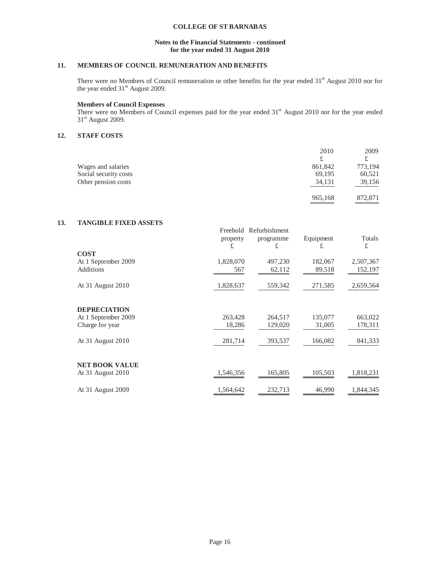# **Notes to the Financial Statements - continued for the year ended 31 August 2010**

# **11. MEMBERS OF COUNCIL REMUNERATION AND BENEFITS**

There were no Members of Council remuneration or other benefits for the year ended 31<sup>st</sup> August 2010 nor for the year ended  $31<sup>st</sup>$  August 2009.

## **Members of Council Expenses**

There were no Members of Council expenses paid for the year ended 31<sup>st</sup> August 2010 nor for the year ended 31<sup>st</sup> August 2009.

# **12. STAFF COSTS**

|                       | 2010    | 2009    |
|-----------------------|---------|---------|
|                       | £       |         |
| Wages and salaries    | 861.842 | 773,194 |
| Social security costs | 69,195  | 60,521  |
| Other pension costs   | 34,131  | 39,156  |
|                       | 965,168 | 872,871 |

# **13. TANGIBLE FIXED ASSETS**

|                       | Freehold  | Refurbishment |           |           |
|-----------------------|-----------|---------------|-----------|-----------|
|                       | property  | programme     | Equipment | Totals    |
|                       | £         | £             | £         | £         |
| <b>COST</b>           |           |               |           |           |
| At 1 September 2009   | 1,828,070 | 497,230       | 182,067   | 2,507,367 |
| Additions             | 567       | 62,112        | 89,518    | 152,197   |
| At 31 August 2010     | 1,828,637 | 559,342       | 271,585   | 2,659,564 |
| <b>DEPRECIATION</b>   |           |               |           |           |
| At 1 September 2009   | 263,428   | 264,517       | 135,077   | 663,022   |
| Charge for year       | 18,286    | 129,020       | 31,005    | 178,311   |
|                       |           |               |           |           |
| At 31 August 2010     | 281,714   | 393,537       | 166,082   | 841,333   |
|                       |           |               |           |           |
| <b>NET BOOK VALUE</b> |           |               |           |           |
| At 31 August 2010     | 1,546,356 | 165,805       | 105,503   | 1,818,231 |
| At 31 August 2009     | 1,564,642 | 232,713       | 46,990    | 1,844,345 |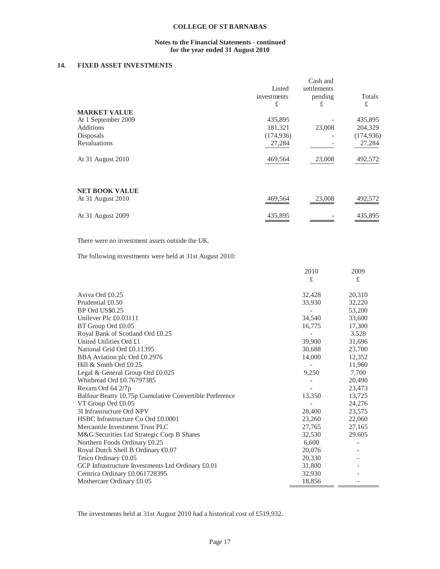# **Notes to the Financial Statements - continued for the year ended 31 August 2010**

# **14. FIXED ASSET INVESTMENTS**

|                       | Listed<br>investments<br>£ | Cash and<br>settlements<br>pending<br>£ | Totals<br>£ |
|-----------------------|----------------------------|-----------------------------------------|-------------|
| <b>MARKET VALUE</b>   |                            |                                         |             |
| At 1 September 2009   | 435,895                    |                                         | 435,895     |
| Additions             | 181,321                    | 23,008                                  | 204,329     |
| Disposals             | (174, 936)                 |                                         | (174, 936)  |
| Revaluations          | 27,284                     |                                         | 27,284      |
| At 31 August 2010     | 469,564                    | 23,008                                  | 492,572     |
| <b>NET BOOK VALUE</b> |                            |                                         |             |
| At 31 August 2010     | 469,564                    | 23,008                                  | 492,572     |
| At 31 August 2009     | 435,895                    |                                         | 435,895     |

## There were no investment assets outside the UK.

The following investments were held at 31st August 2010:

| £<br>£<br>32,428<br>20,310<br>32,220<br>33,930<br>53,200<br>33,600<br>34,540<br>17,300<br>16,775<br>3,528<br>31,696<br>39,900<br>30,688<br>23,700<br>14,000<br>12,352<br>11,960<br>9,250<br>7,700<br>Whithread Ord £0.76797385<br>20,490<br>23,473<br>13,725<br>13,350<br>VT Group Ord £0.05<br>24,276<br>3I Infrastructure Ord NPV<br>23,575<br>28,400<br>23,260<br>22,060<br>27,765<br>27,165<br>29.605<br>32,530<br>6,600<br>20,076<br>Tesco Ordinary £0.05<br>20,330<br>31,800<br>32,930<br>18,856 |                                                         | 2010 | 2009 |
|--------------------------------------------------------------------------------------------------------------------------------------------------------------------------------------------------------------------------------------------------------------------------------------------------------------------------------------------------------------------------------------------------------------------------------------------------------------------------------------------------------|---------------------------------------------------------|------|------|
|                                                                                                                                                                                                                                                                                                                                                                                                                                                                                                        |                                                         |      |      |
|                                                                                                                                                                                                                                                                                                                                                                                                                                                                                                        | Aviva Ord £0.25                                         |      |      |
|                                                                                                                                                                                                                                                                                                                                                                                                                                                                                                        | Prudential £0.50                                        |      |      |
|                                                                                                                                                                                                                                                                                                                                                                                                                                                                                                        | BP Ord US\$0.25                                         |      |      |
|                                                                                                                                                                                                                                                                                                                                                                                                                                                                                                        | Unilever Plc £0.03111                                   |      |      |
|                                                                                                                                                                                                                                                                                                                                                                                                                                                                                                        | BT Group Ord £0.05                                      |      |      |
|                                                                                                                                                                                                                                                                                                                                                                                                                                                                                                        | Royal Bank of Scotland Ord £0.25                        |      |      |
|                                                                                                                                                                                                                                                                                                                                                                                                                                                                                                        | United Utilities Ord £1                                 |      |      |
|                                                                                                                                                                                                                                                                                                                                                                                                                                                                                                        | National Grid Ord £0.11395                              |      |      |
|                                                                                                                                                                                                                                                                                                                                                                                                                                                                                                        | BBA Aviation plc Ord £0.2976                            |      |      |
|                                                                                                                                                                                                                                                                                                                                                                                                                                                                                                        | Hill & Smith Ord £0.25                                  |      |      |
|                                                                                                                                                                                                                                                                                                                                                                                                                                                                                                        | Legal & General Group Ord £0.025                        |      |      |
|                                                                                                                                                                                                                                                                                                                                                                                                                                                                                                        |                                                         |      |      |
|                                                                                                                                                                                                                                                                                                                                                                                                                                                                                                        | Rexam Ord 64 2/7p                                       |      |      |
|                                                                                                                                                                                                                                                                                                                                                                                                                                                                                                        | Balfour Beatty 10.75p Cumulative Convertible Preference |      |      |
|                                                                                                                                                                                                                                                                                                                                                                                                                                                                                                        |                                                         |      |      |
|                                                                                                                                                                                                                                                                                                                                                                                                                                                                                                        |                                                         |      |      |
|                                                                                                                                                                                                                                                                                                                                                                                                                                                                                                        | HSBC Infrastructure Co Ord £0.0001                      |      |      |
|                                                                                                                                                                                                                                                                                                                                                                                                                                                                                                        | Mercantile Investment Trust PLC                         |      |      |
|                                                                                                                                                                                                                                                                                                                                                                                                                                                                                                        | M&G Securities Ltd Strategic Corp B Shares              |      |      |
|                                                                                                                                                                                                                                                                                                                                                                                                                                                                                                        | Northern Foods Ordinary £0.25                           |      |      |
|                                                                                                                                                                                                                                                                                                                                                                                                                                                                                                        | Royal Dutch Shell B Ordinary €0.07                      |      |      |
|                                                                                                                                                                                                                                                                                                                                                                                                                                                                                                        |                                                         |      |      |
|                                                                                                                                                                                                                                                                                                                                                                                                                                                                                                        | GCP Infrastructure Investments Ltd Ordinary £0.01       |      |      |
|                                                                                                                                                                                                                                                                                                                                                                                                                                                                                                        | Centrica Ordinary £0.061728395                          |      |      |
|                                                                                                                                                                                                                                                                                                                                                                                                                                                                                                        | Mothercare Ordinary £0.05                               |      |      |

The investments held at 31st August 2010 had a historical cost of £519,932.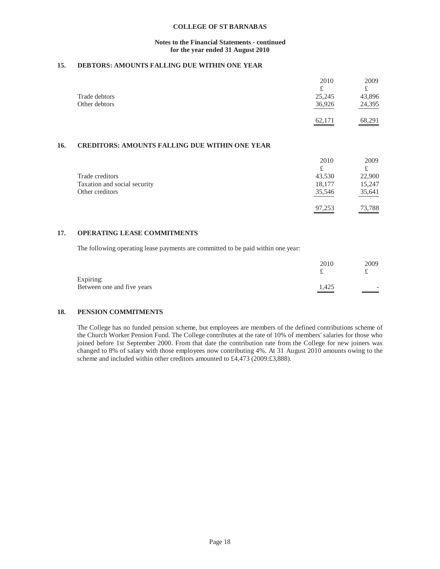## **Notes to the Financial Statements - continued for the year ended 31 August 2010**

# **15. DEBTORS: AMOUNTS FALLING DUE WITHIN ONE YEAR**

|               | 2010          | 2009                 |
|---------------|---------------|----------------------|
|               | £             |                      |
| Trade debtors | 25,245        | 43,896               |
| Other debtors | 36,926        | 24,395               |
|               | 62,171<br>___ | $\underline{68,291}$ |

# **16. CREDITORS: AMOUNTS FALLING DUE WITHIN ONE YEAR**

|                              | 2010   | 2009   |
|------------------------------|--------|--------|
|                              | £      |        |
| Trade creditors              | 43.530 | 22,900 |
| Taxation and social security | 18,177 | 15,247 |
| Other creditors              | 35,546 | 35,641 |
|                              | 97.253 | 73,788 |

# **17. OPERATING LEASE COMMITMENTS**

The following operating lease payments are committed to be paid within one year:

|                            | 2010              | 2009 |
|----------------------------|-------------------|------|
| Expiring:                  |                   |      |
| Between one and five years | $\frac{1,425}{1}$ | -    |

# **18. PENSION COMMITMENTS**

The College has no funded pension scheme, but employees are members of the defined contributions scheme of the Church Worker Pension Fund. The College contributes at the rate of 10% of members' salaries for those who joined before 1st September 2000. From that date the contribution rate from the College for new joiners was changed to 8% of salary with those employees now contributing 4%. At 31 August 2010 amounts owing to the scheme and included within other creditors amounted to £4,473 (2009:£3,888).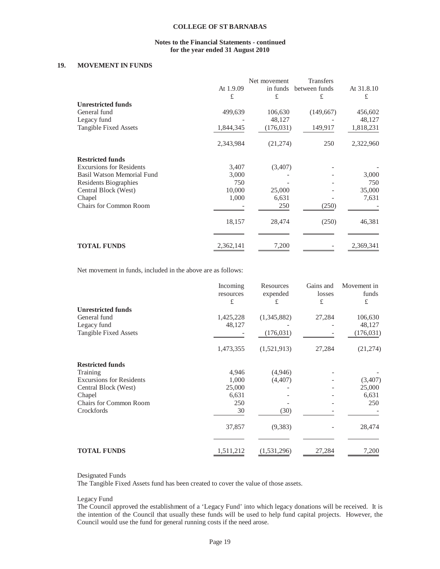## **Notes to the Financial Statements - continued for the year ended 31 August 2010**

## **19. MOVEMENT IN FUNDS**

|                                   |           | Net movement | <b>Transfers</b> |            |
|-----------------------------------|-----------|--------------|------------------|------------|
|                                   | At 1.9.09 | in funds     | between funds    | At 31.8.10 |
|                                   | £         | £            | £                | £          |
| <b>Unrestricted funds</b>         |           |              |                  |            |
| General fund                      | 499,639   | 106,630      | (149, 667)       | 456,602    |
| Legacy fund                       |           | 48,127       |                  | 48,127     |
| Tangible Fixed Assets             | 1,844,345 | (176, 031)   | 149,917          | 1,818,231  |
|                                   | 2,343,984 | (21, 274)    | 250              | 2,322,960  |
| <b>Restricted funds</b>           |           |              |                  |            |
| <b>Excursions for Residents</b>   | 3,407     | (3,407)      |                  |            |
| <b>Basil Watson Memorial Fund</b> | 3,000     |              |                  | 3,000      |
| Residents Biographies             | 750       |              |                  | 750        |
| Central Block (West)              | 10,000    | 25,000       |                  | 35,000     |
| Chapel                            | 1,000     | 6,631        |                  | 7,631      |
| <b>Chairs for Common Room</b>     |           | 250          | (250)            |            |
|                                   | 18,157    | 28,474       | (250)            | 46,381     |
|                                   |           |              |                  |            |
| <b>TOTAL FUNDS</b>                | 2,362,141 | 7,200        |                  | 2,369,341  |

Net movement in funds, included in the above are as follows:

|                                 | Incoming<br>resources<br>£ | Resources<br>expended<br>£ | Gains and<br>losses<br>£ | Movement in<br>funds<br>£ |
|---------------------------------|----------------------------|----------------------------|--------------------------|---------------------------|
| <b>Unrestricted funds</b>       |                            |                            |                          |                           |
| General fund                    | 1,425,228                  | (1,345,882)                | 27,284                   | 106,630                   |
| Legacy fund                     | 48,127                     |                            |                          | 48,127                    |
| Tangible Fixed Assets           |                            | (176, 031)                 |                          | (176, 031)                |
|                                 | 1,473,355                  | (1,521,913)                | 27,284                   | (21, 274)                 |
| <b>Restricted funds</b>         |                            |                            |                          |                           |
| Training                        | 4,946                      | (4,946)                    |                          |                           |
| <b>Excursions for Residents</b> | 1,000                      | (4, 407)                   |                          | (3,407)                   |
| Central Block (West)            | 25,000                     |                            |                          | 25,000                    |
| Chapel                          | 6,631                      |                            |                          | 6,631                     |
| <b>Chairs for Common Room</b>   | 250                        |                            |                          | 250                       |
| Crockfords                      | 30                         | (30)                       |                          |                           |
|                                 | 37,857                     | (9,383)                    |                          | 28,474                    |
|                                 |                            |                            |                          |                           |
| <b>TOTAL FUNDS</b>              | 1,511,212                  | (1,531,296)                | 27,284                   | 7,200                     |

#### Designated Funds

The Tangible Fixed Assets fund has been created to cover the value of those assets.

#### Legacy Fund

The Council approved the establishment of a 'Legacy Fund' into which legacy donations will be received. It is the intention of the Council that usually these funds will be used to help fund capital projects. However, the Council would use the fund for general running costs if the need arose.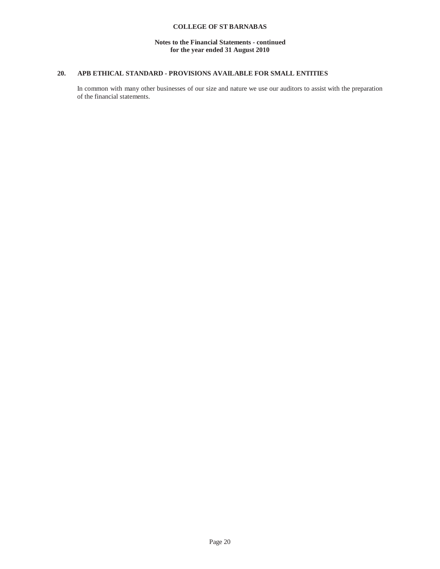# **Notes to the Financial Statements - continued for the year ended 31 August 2010**

# **20. APB ETHICAL STANDARD - PROVISIONS AVAILABLE FOR SMALL ENTITIES**

In common with many other businesses of our size and nature we use our auditors to assist with the preparation of the financial statements.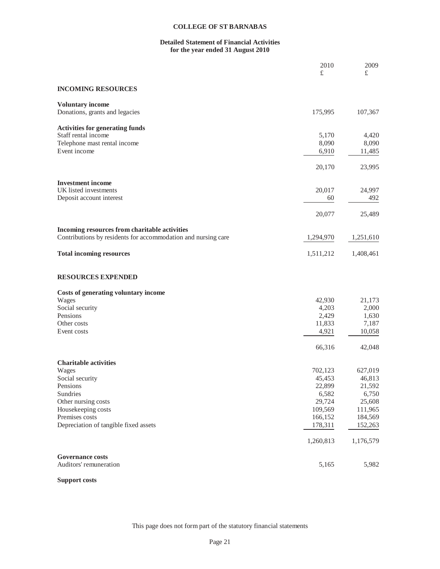# **Detailed Statement of Financial Activities for the year ended 31 August 2010**

|                                                               | 2010<br>£ | 2009<br>£ |
|---------------------------------------------------------------|-----------|-----------|
|                                                               |           |           |
| <b>INCOMING RESOURCES</b>                                     |           |           |
| <b>Voluntary income</b>                                       |           |           |
| Donations, grants and legacies                                | 175,995   | 107,367   |
| <b>Activities for generating funds</b>                        |           |           |
| Staff rental income                                           | 5,170     | 4,420     |
| Telephone mast rental income                                  | 8,090     | 8,090     |
| Event income                                                  | 6,910     | 11,485    |
|                                                               | 20,170    | 23,995    |
| <b>Investment</b> income                                      |           |           |
| UK listed investments                                         | 20,017    | 24,997    |
| Deposit account interest                                      | 60        | 492       |
|                                                               | 20,077    | 25,489    |
| Incoming resources from charitable activities                 |           |           |
| Contributions by residents for accommodation and nursing care | 1,294,970 | 1,251,610 |
| <b>Total incoming resources</b>                               | 1,511,212 | 1,408,461 |
| <b>RESOURCES EXPENDED</b>                                     |           |           |
| Costs of generating voluntary income                          |           |           |
| Wages                                                         | 42,930    | 21,173    |
| Social security                                               | 4,203     | 2,000     |
| Pensions                                                      | 2,429     | 1,630     |
| Other costs                                                   | 11,833    | 7,187     |
| Event costs                                                   | 4,921     | 10,058    |
|                                                               | 66,316    | 42,048    |
| <b>Charitable activities</b>                                  |           |           |
| Wages                                                         | 702,123   | 627,019   |
| Social security                                               | 45,453    | 46,813    |
| Pensions                                                      | 22,899    | 21,592    |
| Sundries                                                      | 6,582     | 6,750     |
| Other nursing costs                                           | 29,724    | 25,608    |
| Housekeeping costs                                            | 109,569   | 111,965   |
| Premises costs                                                | 166,152   | 184,569   |
| Depreciation of tangible fixed assets                         | 178,311   | 152,263   |
|                                                               | 1,260,813 | 1,176,579 |
| <b>Governance costs</b>                                       |           |           |
| Auditors' remuneration                                        | 5,165     | 5,982     |

# **Support costs**